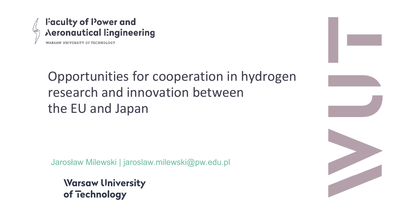

## Opportunities for cooperation in hydrogen research and innovation between the EU and Japan

Jarosław Milewski | jaroslaw.milewski@pw.edu.pl

**Warsaw University** of Technology



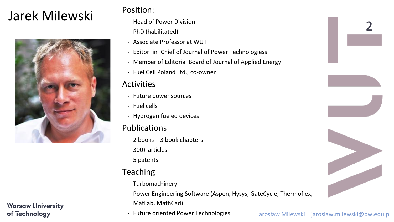# Jarek Milewski Position:



#### **Warsaw University** of Technology





Jarosław Milewski | jaroslaw.milewski@pw.edu.pl

- Editor–in–Chief of Journal of Power Technologiess

- Head of Power Division
- PhD (habilitated)
- Associate Professor at WUT
- 
- 
- Fuel Cell Poland Ltd., co-owner

#### **Activities**

- Member of Editorial Board of Journal of Applied Energy

- Future power sources
- Fuel cells
- Hydrogen fueled devices

#### Publications

- 2 books + 3 book chapters
- 300+ articles
- 5 patents

#### Teaching

- Power Engineering Software (Aspen, Hysys, GateCycle, Thermoflex,

- Turbomachinery
- MatLab, MathCad)
- Future oriented Power Technologies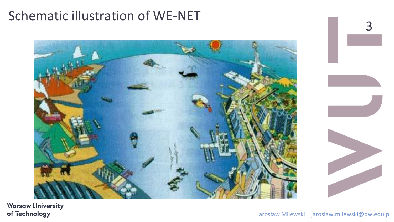

**Warsaw University** of Technology

## Schematic illustration of WE-NET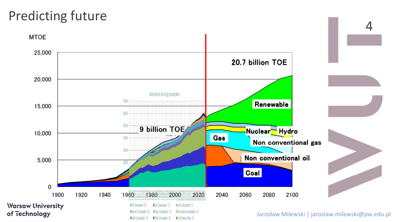

### Predicting future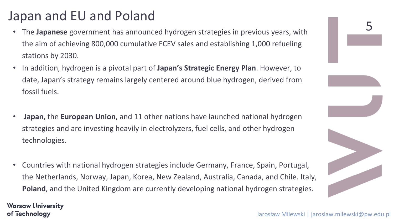

Jarosław Milewski | jaroslaw.milewski@pw.edu.pl

## Japan and EU and Poland

- The **Japanese** government has announced hydrogen strategies in previous years, with the aim of achieving 800,000 cumulative FCEV sales and establishing 1,000 refueling stations by 2030.
- In addition, hydrogen is a pivotal part of **Japan's Strategic Energy Plan**. However, to date, Japan's strategy remains largely centered around blue hydrogen, derived from fossil fuels.
- **Japan**, the **European Union**, and 11 other nations have launched national hydrogen strategies and are investing heavily in electrolyzers, fuel cells, and other hydrogen technologies.
- Countries with national hydrogen strategies include Germany, France, Spain, Portugal, the Netherlands, Norway, Japan, Korea, New Zealand, Australia, Canada, and Chile. Italy, **Poland**, and the United Kingdom are currently developing national hydrogen strategies.

**Warsaw University** of Technology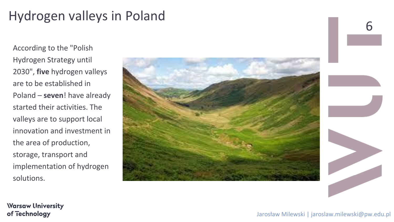

**Warsaw University** of Technology

# Hydrogen valleys in Poland

According to the "Polish Hydrogen Strategy until 2030", **five** hydrogen valleys are to be established in Poland – **seven**! have already started their activities. The valleys are to support local innovation and investment in the area of production, storage, transport and implementation of hydrogen solutions.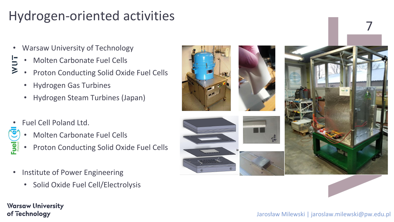

#### Jarosław Milewski | jaroslaw.milewski@pw.edu.pl



## Hydrogen-oriented activities

- Warsaw University of Technology
	- Molten Carbonate Fuel Cells
	- Proton Conducting Solid Oxide Fuel Cells
	- Hydrogen Gas Turbines
	- Hydrogen Steam Turbines (Japan)
- Fuel Cell Poland Ltd.

ココン

 $\overline{S}$ 

- Molten Carbonate Fuel Cells
- Proton Conducting Solid Oxide Fuel Cells
- Institute of Power Engineering
	- Solid Oxide Fuel Cell/Electrolysis

**Warsaw University** of Technology